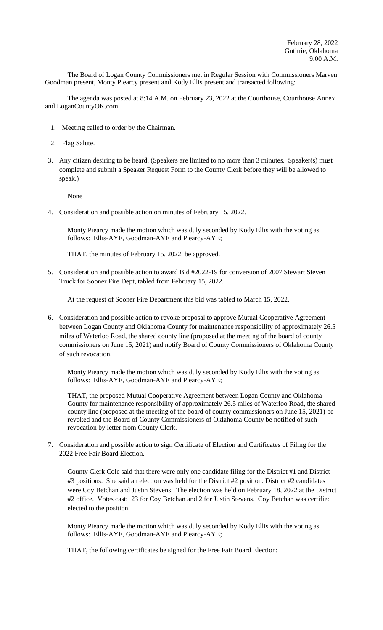The Board of Logan County Commissioners met in Regular Session with Commissioners Marven Goodman present, Monty Piearcy present and Kody Ellis present and transacted following:

The agenda was posted at 8:14 A.M. on February 23, 2022 at the Courthouse, Courthouse Annex and LoganCountyOK.com.

- 1. Meeting called to order by the Chairman.
- 2. Flag Salute.
- 3. Any citizen desiring to be heard. (Speakers are limited to no more than 3 minutes. Speaker(s) must complete and submit a Speaker Request Form to the County Clerk before they will be allowed to speak.)

None

4. Consideration and possible action on minutes of February 15, 2022.

Monty Piearcy made the motion which was duly seconded by Kody Ellis with the voting as follows: Ellis-AYE, Goodman-AYE and Piearcy-AYE;

THAT, the minutes of February 15, 2022, be approved.

5. Consideration and possible action to award Bid #2022-19 for conversion of 2007 Stewart Steven Truck for Sooner Fire Dept, tabled from February 15, 2022.

At the request of Sooner Fire Department this bid was tabled to March 15, 2022.

6. Consideration and possible action to revoke proposal to approve Mutual Cooperative Agreement between Logan County and Oklahoma County for maintenance responsibility of approximately 26.5 miles of Waterloo Road, the shared county line (proposed at the meeting of the board of county commissioners on June 15, 2021) and notify Board of County Commissioners of Oklahoma County of such revocation.

Monty Piearcy made the motion which was duly seconded by Kody Ellis with the voting as follows: Ellis-AYE, Goodman-AYE and Piearcy-AYE;

THAT, the proposed Mutual Cooperative Agreement between Logan County and Oklahoma County for maintenance responsibility of approximately 26.5 miles of Waterloo Road, the shared county line (proposed at the meeting of the board of county commissioners on June 15, 2021) be revoked and the Board of County Commissioners of Oklahoma County be notified of such revocation by letter from County Clerk.

7. Consideration and possible action to sign Certificate of Election and Certificates of Filing for the 2022 Free Fair Board Election.

County Clerk Cole said that there were only one candidate filing for the District #1 and District #3 positions. She said an election was held for the District #2 position. District #2 candidates were Coy Betchan and Justin Stevens. The election was held on February 18, 2022 at the District #2 office. Votes cast: 23 for Coy Betchan and 2 for Justin Stevens. Coy Betchan was certified elected to the position.

Monty Piearcy made the motion which was duly seconded by Kody Ellis with the voting as follows: Ellis-AYE, Goodman-AYE and Piearcy-AYE;

THAT, the following certificates be signed for the Free Fair Board Election: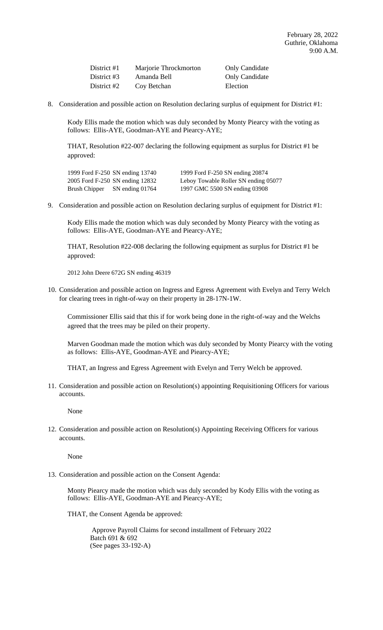| District #1 | Marjorie Throckmorton | <b>Only Candidate</b> |
|-------------|-----------------------|-----------------------|
| District #3 | Amanda Bell           | <b>Only Candidate</b> |
| District #2 | Coy Betchan           | Election              |

8. Consideration and possible action on Resolution declaring surplus of equipment for District #1:

Kody Ellis made the motion which was duly seconded by Monty Piearcy with the voting as follows: Ellis-AYE, Goodman-AYE and Piearcy-AYE;

THAT, Resolution #22-007 declaring the following equipment as surplus for District #1 be approved:

|               | 1999 Ford F-250 SN ending 13740 |
|---------------|---------------------------------|
|               | 2005 Ford F-250 SN ending 12832 |
| Brush Chipper | SN ending 01764                 |

1999 Ford F-250 SN ending 20874 Leboy Towable Roller SN ending 05077 1997 GMC 5500 SN ending 03908

9. Consideration and possible action on Resolution declaring surplus of equipment for District #1:

Kody Ellis made the motion which was duly seconded by Monty Piearcy with the voting as follows: Ellis-AYE, Goodman-AYE and Piearcy-AYE;

THAT, Resolution #22-008 declaring the following equipment as surplus for District #1 be approved:

2012 John Deere 672G SN ending 46319

10. Consideration and possible action on Ingress and Egress Agreement with Evelyn and Terry Welch for clearing trees in right-of-way on their property in 28-17N-1W.

Commissioner Ellis said that this if for work being done in the right-of-way and the Welchs agreed that the trees may be piled on their property.

Marven Goodman made the motion which was duly seconded by Monty Piearcy with the voting as follows: Ellis-AYE, Goodman-AYE and Piearcy-AYE;

THAT, an Ingress and Egress Agreement with Evelyn and Terry Welch be approved.

11. Consideration and possible action on Resolution(s) appointing Requisitioning Officers for various accounts.

None

12. Consideration and possible action on Resolution(s) Appointing Receiving Officers for various accounts.

None

13. Consideration and possible action on the Consent Agenda:

Monty Piearcy made the motion which was duly seconded by Kody Ellis with the voting as follows: Ellis-AYE, Goodman-AYE and Piearcy-AYE;

THAT, the Consent Agenda be approved:

 Approve Payroll Claims for second installment of February 2022 Batch 691 & 692 (See pages 33-192-A)